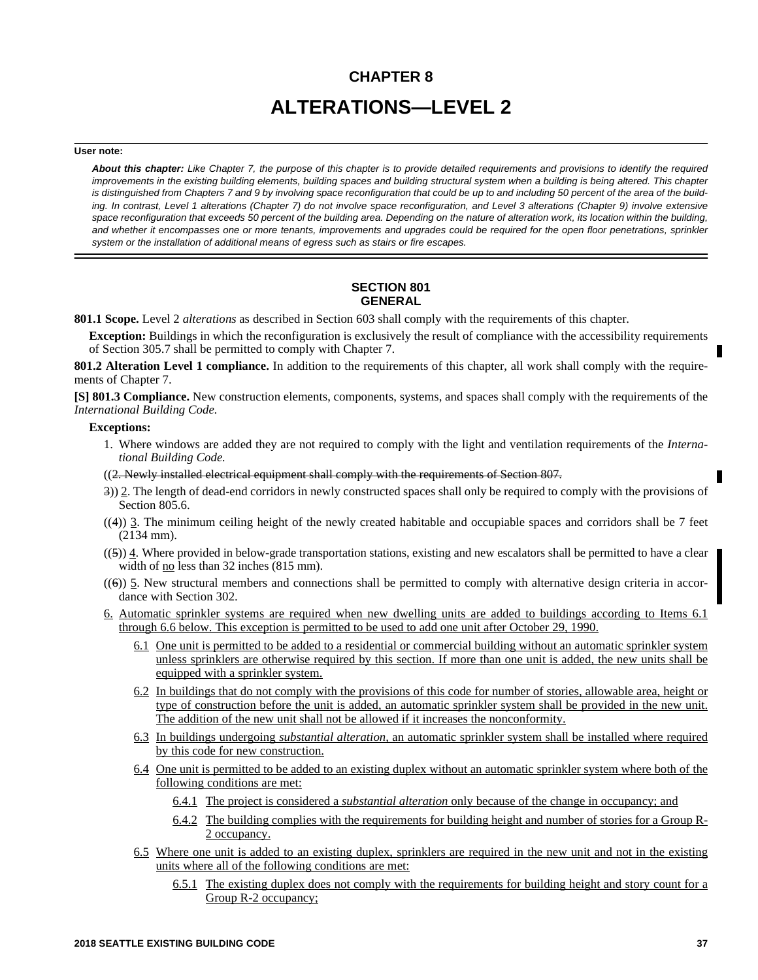# **CHAPTER 8 ALTERATIONS—LEVEL 2**

#### **User note:**

*About this chapter: Like Chapter 7, the purpose of this chapter is to provide detailed requirements and provisions to identify the required improvements in the existing building elements, building spaces and building structural system when a building is being altered. This chapter is distinguished from Chapters 7 and 9 by involving space reconfiguration that could be up to and including 50 percent of the area of the building. In contrast, Level 1 alterations (Chapter 7) do not involve space reconfiguration, and Level 3 alterations (Chapter 9) involve extensive space reconfiguration that exceeds 50 percent of the building area. Depending on the nature of alteration work, its location within the building, and whether it encompasses one or more tenants, improvements and upgrades could be required for the open floor penetrations, sprinkler system or the installation of additional means of egress such as stairs or fire escapes.*

# **SECTION 801 GENERAL**

**801.1 Scope.** Level 2 *alterations* as described in Section 603 shall comply with the requirements of this chapter.

**Exception:** Buildings in which the reconfiguration is exclusively the result of compliance with the accessibility requirements of Section 305.7 shall be permitted to comply with Chapter 7.

**801.2 Alteration Level 1 compliance.** In addition to the requirements of this chapter, all work shall comply with the requirements of Chapter 7.

**[S] 801.3 Compliance.** New construction elements, components, systems, and spaces shall comply with the requirements of the *International Building Code.*

# **Exceptions:**

1. Where windows are added they are not required to comply with the light and ventilation requirements of the *International Building Code.*

((2. Newly installed electrical equipment shall comply with the requirements of Section 807.

- 3)) 2. The length of dead-end corridors in newly constructed spaces shall only be required to comply with the provisions of Section 805.6.
- $((4))$  3. The minimum ceiling height of the newly created habitable and occupiable spaces and corridors shall be 7 feet (2134 mm).
- $((5))$  4. Where provided in below-grade transportation stations, existing and new escalators shall be permitted to have a clear width of <u>no</u> less than 32 inches (815 mm).
- $((6))$  5. New structural members and connections shall be permitted to comply with alternative design criteria in accordance with Section 302.
- 6. Automatic sprinkler systems are required when new dwelling units are added to buildings according to Items 6.1 through 6.6 below. This exception is permitted to be used to add one unit after October 29, 1990.
	- 6.1 One unit is permitted to be added to a residential or commercial building without an automatic sprinkler system unless sprinklers are otherwise required by this section. If more than one unit is added, the new units shall be equipped with a sprinkler system.
	- 6.2 In buildings that do not comply with the provisions of this code for number of stories, allowable area, height or type of construction before the unit is added, an automatic sprinkler system shall be provided in the new unit. The addition of the new unit shall not be allowed if it increases the nonconformity.
	- 6.3 In buildings undergoing *substantial alteration,* an automatic sprinkler system shall be installed where required by this code for new construction.
	- 6.4 One unit is permitted to be added to an existing duplex without an automatic sprinkler system where both of the following conditions are met:
		- 6.4.1 The project is considered a *substantial alteration* only because of the change in occupancy; and
		- 6.4.2 The building complies with the requirements for building height and number of stories for a Group R-2 occupancy.
	- 6.5 Where one unit is added to an existing duplex, sprinklers are required in the new unit and not in the existing units where all of the following conditions are met:
		- 6.5.1 The existing duplex does not comply with the requirements for building height and story count for a Group R-2 occupancy;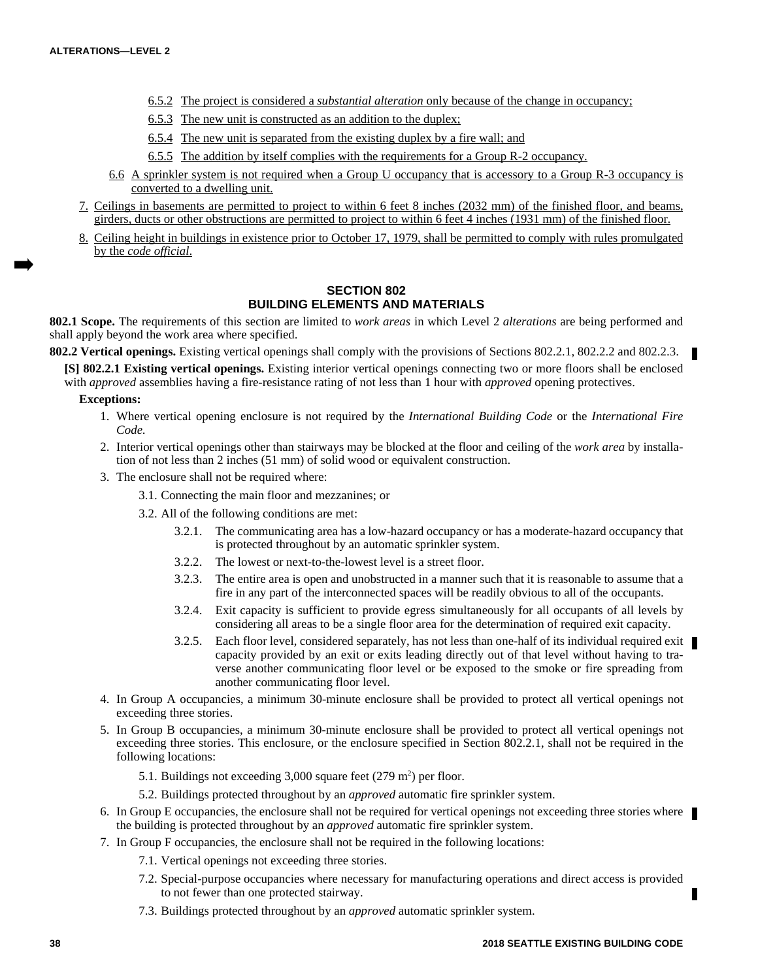- 6.5.2 The project is considered a *substantial alteration* only because of the change in occupancy;
- 6.5.3 The new unit is constructed as an addition to the duplex;
- 6.5.4 The new unit is separated from the existing duplex by a fire wall; and
- 6.5.5 The addition by itself complies with the requirements for a Group R-2 occupancy.
- 6.6 A sprinkler system is not required when a Group U occupancy that is accessory to a Group R-3 occupancy is converted to a dwelling unit.
- 7. Ceilings in basements are permitted to project to within 6 feet 8 inches (2032 mm) of the finished floor, and beams, girders, ducts or other obstructions are permitted to project to within 6 feet 4 inches (1931 mm) of the finished floor.
- 8. Ceiling height in buildings in existence prior to October 17, 1979, shall be permitted to comply with rules promulgated by the *code official*.

# **SECTION 802 BUILDING ELEMENTS AND MATERIALS**

**802.1 Scope.** The requirements of this section are limited to *work areas* in which Level 2 *alterations* are being performed and shall apply beyond the work area where specified.

802.2 Vertical openings. Existing vertical openings shall comply with the provisions of Sections 802.2.1, 802.2.2 and 802.2.3.

**[S] 802.2.1 Existing vertical openings.** Existing interior vertical openings connecting two or more floors shall be enclosed with *approved* assemblies having a fire-resistance rating of not less than 1 hour with *approved* opening protectives.

**Exceptions:**

- 1. Where vertical opening enclosure is not required by the *International Building Code* or the *International Fire Code*.
- 2. Interior vertical openings other than stairways may be blocked at the floor and ceiling of the *work area* by installation of not less than 2 inches (51 mm) of solid wood or equivalent construction.
- 3. The enclosure shall not be required where:
	- 3.1. Connecting the main floor and mezzanines; or
	- 3.2. All of the following conditions are met:
		- 3.2.1. The communicating area has a low-hazard occupancy or has a moderate-hazard occupancy that is protected throughout by an automatic sprinkler system.
		- 3.2.2. The lowest or next-to-the-lowest level is a street floor.
		- 3.2.3. The entire area is open and unobstructed in a manner such that it is reasonable to assume that a fire in any part of the interconnected spaces will be readily obvious to all of the occupants.
		- 3.2.4. Exit capacity is sufficient to provide egress simultaneously for all occupants of all levels by considering all areas to be a single floor area for the determination of required exit capacity.
		- 3.2.5. Each floor level, considered separately, has not less than one-half of its individual required exit  $\blacksquare$ capacity provided by an exit or exits leading directly out of that level without having to traverse another communicating floor level or be exposed to the smoke or fire spreading from another communicating floor level.
- 4. In Group A occupancies, a minimum 30-minute enclosure shall be provided to protect all vertical openings not exceeding three stories.
- 5. In Group B occupancies, a minimum 30-minute enclosure shall be provided to protect all vertical openings not exceeding three stories. This enclosure, or the enclosure specified in Section 802.2.1, shall not be required in the following locations:
	- 5.1. Buildings not exceeding  $3,000$  square feet  $(279 \text{ m}^2)$  per floor.
	- 5.2. Buildings protected throughout by an *approved* automatic fire sprinkler system.
- 6. In Group E occupancies, the enclosure shall not be required for vertical openings not exceeding three stories where the building is protected throughout by an *approved* automatic fire sprinkler system.
- 7. In Group F occupancies, the enclosure shall not be required in the following locations:
	- 7.1. Vertical openings not exceeding three stories.
	- 7.2. Special-purpose occupancies where necessary for manufacturing operations and direct access is provided to not fewer than one protected stairway.
	- 7.3. Buildings protected throughout by an *approved* automatic sprinkler system.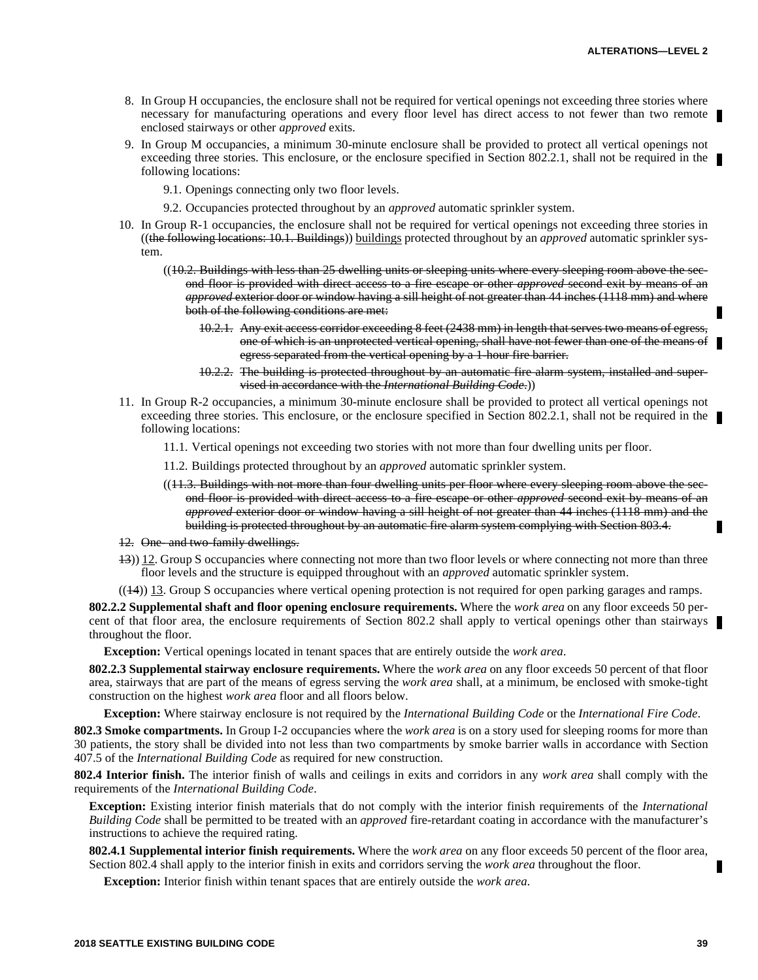- 8. In Group H occupancies, the enclosure shall not be required for vertical openings not exceeding three stories where necessary for manufacturing operations and every floor level has direct access to not fewer than two remote enclosed stairways or other *approved* exits.
- 9. In Group M occupancies, a minimum 30-minute enclosure shall be provided to protect all vertical openings not exceeding three stories. This enclosure, or the enclosure specified in Section 802.2.1, shall not be required in the following locations:
	- 9.1. Openings connecting only two floor levels.
	- 9.2. Occupancies protected throughout by an *approved* automatic sprinkler system.
- 10. In Group R-1 occupancies, the enclosure shall not be required for vertical openings not exceeding three stories in ((the following locations: 10.1. Buildings)) buildings protected throughout by an *approved* automatic sprinkler system.
	- ((10.2. Buildings with less than 25 dwelling units or sleeping units where every sleeping room above the second floor is provided with direct access to a fire escape or other *approved* second exit by means of an *approved* exterior door or window having a sill height of not greater than 44 inches (1118 mm) and where both of the following conditions are met:
		- 10.2.1. Any exit access corridor exceeding 8 feet (2438 mm) in length that serves two means of egress, one of which is an unprotected vertical opening, shall have not fewer than one of the means of egress separated from the vertical opening by a 1-hour fire barrier.
		- 10.2.2. The building is protected throughout by an automatic fire alarm system, installed and supervised in accordance with the *International Building Code*.))
- 11. In Group R-2 occupancies, a minimum 30-minute enclosure shall be provided to protect all vertical openings not exceeding three stories. This enclosure, or the enclosure specified in Section 802.2.1, shall not be required in the following locations:
	- 11.1. Vertical openings not exceeding two stories with not more than four dwelling units per floor.
	- 11.2. Buildings protected throughout by an *approved* automatic sprinkler system.
	- ((11.3. Buildings with not more than four dwelling units per floor where every sleeping room above the second floor is provided with direct access to a fire escape or other *approved* second exit by means of an *approved* exterior door or window having a sill height of not greater than 44 inches (1118 mm) and the building is protected throughout by an automatic fire alarm system complying with Section 803.4.
- 12. One- and two-family dwellings.
- 13)) 12. Group S occupancies where connecting not more than two floor levels or where connecting not more than three floor levels and the structure is equipped throughout with an *approved* automatic sprinkler system.
- $((14))$  13. Group S occupancies where vertical opening protection is not required for open parking garages and ramps.

**802.2.2 Supplemental shaft and floor opening enclosure requirements.** Where the *work area* on any floor exceeds 50 percent of that floor area, the enclosure requirements of Section 802.2 shall apply to vertical openings other than stairways throughout the floor.

**Exception:** Vertical openings located in tenant spaces that are entirely outside the *work area*.

**802.2.3 Supplemental stairway enclosure requirements.** Where the *work area* on any floor exceeds 50 percent of that floor area, stairways that are part of the means of egress serving the *work area* shall, at a minimum, be enclosed with smoke-tight construction on the highest *work area* floor and all floors below.

**Exception:** Where stairway enclosure is not required by the *International Building Code* or the *International Fire Code*.

**802.3 Smoke compartments.** In Group I-2 occupancies where the *work area* is on a story used for sleeping rooms for more than 30 patients, the story shall be divided into not less than two compartments by smoke barrier walls in accordance with Section 407.5 of the *International Building Code* as required for new construction.

**802.4 Interior finish.** The interior finish of walls and ceilings in exits and corridors in any *work area* shall comply with the requirements of the *International Building Code*.

**Exception:** Existing interior finish materials that do not comply with the interior finish requirements of the *International Building Code* shall be permitted to be treated with an *approved* fire-retardant coating in accordance with the manufacturer's instructions to achieve the required rating.

**802.4.1 Supplemental interior finish requirements.** Where the *work area* on any floor exceeds 50 percent of the floor area, Section 802.4 shall apply to the interior finish in exits and corridors serving the *work area* throughout the floor.

**Exception:** Interior finish within tenant spaces that are entirely outside the *work area*.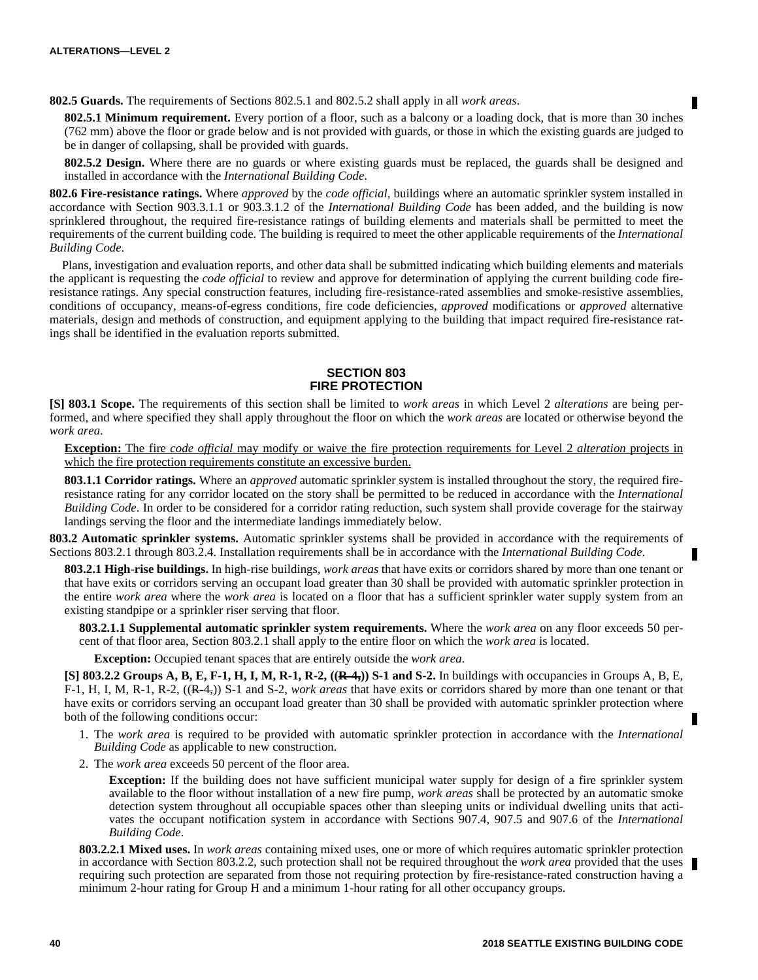**802.5 Guards.** The requirements of Sections 802.5.1 and 802.5.2 shall apply in all *work areas*.

**802.5.1 Minimum requirement.** Every portion of a floor, such as a balcony or a loading dock, that is more than 30 inches (762 mm) above the floor or grade below and is not provided with guards, or those in which the existing guards are judged to be in danger of collapsing, shall be provided with guards.

**802.5.2 Design.** Where there are no guards or where existing guards must be replaced, the guards shall be designed and installed in accordance with the *International Building Code*.

**802.6 Fire-resistance ratings.** Where *approved* by the *code official*, buildings where an automatic sprinkler system installed in accordance with Section 903.3.1.1 or 903.3.1.2 of the *International Building Code* has been added, and the building is now sprinklered throughout, the required fire-resistance ratings of building elements and materials shall be permitted to meet the requirements of the current building code. The building is required to meet the other applicable requirements of the *International Building Code*.

Plans, investigation and evaluation reports, and other data shall be submitted indicating which building elements and materials the applicant is requesting the *code official* to review and approve for determination of applying the current building code fireresistance ratings. Any special construction features, including fire-resistance-rated assemblies and smoke-resistive assemblies, conditions of occupancy, means-of-egress conditions, fire code deficiencies, *approved* modifications or *approved* alternative materials, design and methods of construction, and equipment applying to the building that impact required fire-resistance ratings shall be identified in the evaluation reports submitted.

# **SECTION 803 FIRE PROTECTION**

**[S] 803.1 Scope.** The requirements of this section shall be limited to *work areas* in which Level 2 *alterations* are being performed, and where specified they shall apply throughout the floor on which the *work areas* are located or otherwise beyond the *work area*.

**Exception:** The fire *code official* may modify or waive the fire protection requirements for Level 2 *alteration* projects in which the fire protection requirements constitute an excessive burden.

**803.1.1 Corridor ratings.** Where an *approved* automatic sprinkler system is installed throughout the story, the required fireresistance rating for any corridor located on the story shall be permitted to be reduced in accordance with the *International Building Code*. In order to be considered for a corridor rating reduction, such system shall provide coverage for the stairway landings serving the floor and the intermediate landings immediately below.

**803.2 Automatic sprinkler systems.** Automatic sprinkler systems shall be provided in accordance with the requirements of Sections 803.2.1 through 803.2.4. Installation requirements shall be in accordance with the *International Building Code*.

**803.2.1 High-rise buildings.** In high-rise buildings, *work areas* that have exits or corridors shared by more than one tenant or that have exits or corridors serving an occupant load greater than 30 shall be provided with automatic sprinkler protection in the entire *work area* where the *work area* is located on a floor that has a sufficient sprinkler water supply system from an existing standpipe or a sprinkler riser serving that floor.

**803.2.1.1 Supplemental automatic sprinkler system requirements.** Where the *work area* on any floor exceeds 50 percent of that floor area, Section 803.2.1 shall apply to the entire floor on which the *work area* is located.

**Exception:** Occupied tenant spaces that are entirely outside the *work area*.

**[S] 803.2.2 Groups A, B, E, F-1, H, I, M, R-1, R-2, ((R-4,)) S-1 and S-2.** In buildings with occupancies in Groups A, B, E, F-1, H, I, M, R-1, R-2, ((R-4,)) S-1 and S-2, *work areas* that have exits or corridors shared by more than one tenant or that have exits or corridors serving an occupant load greater than 30 shall be provided with automatic sprinkler protection where both of the following conditions occur:

- 1. The *work area* is required to be provided with automatic sprinkler protection in accordance with the *International Building Code* as applicable to new construction.
- 2. The *work area* exceeds 50 percent of the floor area.

**Exception:** If the building does not have sufficient municipal water supply for design of a fire sprinkler system available to the floor without installation of a new fire pump, *work areas* shall be protected by an automatic smoke detection system throughout all occupiable spaces other than sleeping units or individual dwelling units that activates the occupant notification system in accordance with Sections 907.4, 907.5 and 907.6 of the *International Building Code*.

**803.2.2.1 Mixed uses.** In *work areas* containing mixed uses, one or more of which requires automatic sprinkler protection in accordance with Section 803.2.2, such protection shall not be required throughout the *work area* provided that the uses requiring such protection are separated from those not requiring protection by fire-resistance-rated construction having a minimum 2-hour rating for Group H and a minimum 1-hour rating for all other occupancy groups.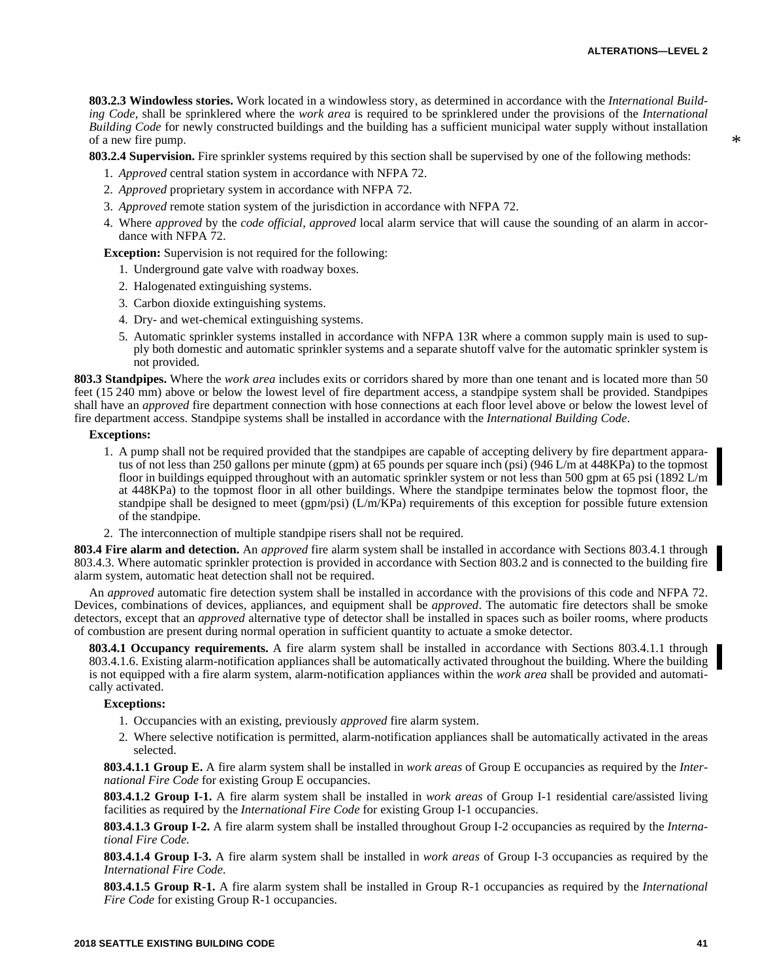**803.2.3 Windowless stories.** Work located in a windowless story, as determined in accordance with the *International Building Code*, shall be sprinklered where the *work area* is required to be sprinklered under the provisions of the *International Building Code* for newly constructed buildings and the building has a sufficient municipal water supply without installation of a new fire pump.

**803.2.4 Supervision.** Fire sprinkler systems required by this section shall be supervised by one of the following methods:

- 1. *Approved* central station system in accordance with NFPA 72.
- 2. *Approved* proprietary system in accordance with NFPA 72.
- 3. *Approved* remote station system of the jurisdiction in accordance with NFPA 72.
- 4. Where *approved* by the *code official*, *approved* local alarm service that will cause the sounding of an alarm in accordance with NFPA 72.

**Exception:** Supervision is not required for the following:

- 1. Underground gate valve with roadway boxes.
- 2. Halogenated extinguishing systems.
- 3. Carbon dioxide extinguishing systems.
- 4. Dry- and wet-chemical extinguishing systems.
- 5. Automatic sprinkler systems installed in accordance with NFPA 13R where a common supply main is used to supply both domestic and automatic sprinkler systems and a separate shutoff valve for the automatic sprinkler system is not provided.

**803.3 Standpipes.** Where the *work area* includes exits or corridors shared by more than one tenant and is located more than 50 feet (15 240 mm) above or below the lowest level of fire department access, a standpipe system shall be provided. Standpipes shall have an *approved* fire department connection with hose connections at each floor level above or below the lowest level of fire department access. Standpipe systems shall be installed in accordance with the *International Building Code*.

## **Exceptions:**

- 1. A pump shall not be required provided that the standpipes are capable of accepting delivery by fire department apparatus of not less than 250 gallons per minute (gpm) at 65 pounds per square inch (psi) (946 L/m at 448KPa) to the topmost floor in buildings equipped throughout with an automatic sprinkler system or not less than 500 gpm at 65 psi (1892 L/m at 448KPa) to the topmost floor in all other buildings. Where the standpipe terminates below the topmost floor, the standpipe shall be designed to meet (gpm/psi)  $(L/m\bar{K}Pa)$  requirements of this exception for possible future extension of the standpipe.
- 2. The interconnection of multiple standpipe risers shall not be required.

**803.4 Fire alarm and detection.** An *approved* fire alarm system shall be installed in accordance with Sections 803.4.1 through 803.4.3. Where automatic sprinkler protection is provided in accordance with Section 803.2 and is connected to the building fire alarm system, automatic heat detection shall not be required.

An *approved* automatic fire detection system shall be installed in accordance with the provisions of this code and NFPA 72. Devices, combinations of devices, appliances, and equipment shall be *approved*. The automatic fire detectors shall be smoke detectors, except that an *approved* alternative type of detector shall be installed in spaces such as boiler rooms, where products of combustion are present during normal operation in sufficient quantity to actuate a smoke detector.

**803.4.1 Occupancy requirements.** A fire alarm system shall be installed in accordance with Sections 803.4.1.1 through 803.4.1.6. Existing alarm-notification appliances shall be automatically activated throughout the building. Where the building is not equipped with a fire alarm system, alarm-notification appliances within the *work area* shall be provided and automatically activated.

#### **Exceptions:**

- 1. Occupancies with an existing, previously *approved* fire alarm system.
- 2. Where selective notification is permitted, alarm-notification appliances shall be automatically activated in the areas selected.

**803.4.1.1 Group E.** A fire alarm system shall be installed in *work areas* of Group E occupancies as required by the *International Fire Code* for existing Group E occupancies.

**803.4.1.2 Group I-1.** A fire alarm system shall be installed in *work areas* of Group I-1 residential care/assisted living facilities as required by the *International Fire Code* for existing Group I-1 occupancies.

**803.4.1.3 Group I-2.** A fire alarm system shall be installed throughout Group I-2 occupancies as required by the *International Fire Code*.

**803.4.1.4 Group I-3.** A fire alarm system shall be installed in *work areas* of Group I-3 occupancies as required by the *International Fire Code*.

**803.4.1.5 Group R-1.** A fire alarm system shall be installed in Group R-1 occupancies as required by the *International Fire Code* for existing Group R-1 occupancies.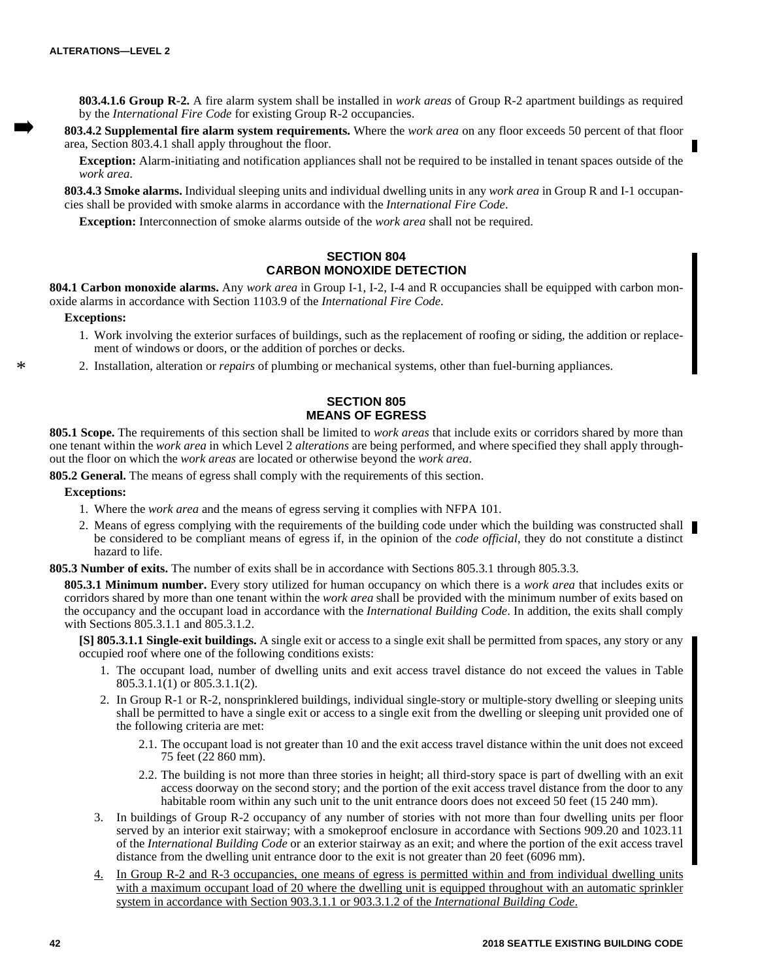**803.4.1.6 Group R-2.** A fire alarm system shall be installed in *work areas* of Group R-2 apartment buildings as required by the *International Fire Code* for existing Group R-2 occupancies.

**803.4.2 Supplemental fire alarm system requirements.** Where the *work area* on any floor exceeds 50 percent of that floor area, Section 803.4.1 shall apply throughout the floor.

**Exception:** Alarm-initiating and notification appliances shall not be required to be installed in tenant spaces outside of the *work area*.

**803.4.3 Smoke alarms.** Individual sleeping units and individual dwelling units in any *work area* in Group R and I-1 occupancies shall be provided with smoke alarms in accordance with the *International Fire Code*.

**Exception:** Interconnection of smoke alarms outside of the *work area* shall not be required.

# **SECTION 804 CARBON MONOXIDE DETECTION**

**804.1 Carbon monoxide alarms.** Any *work area* in Group I-1, I-2, I-4 and R occupancies shall be equipped with carbon monoxide alarms in accordance with Section 1103.9 of the *International Fire Code*.

## **Exceptions:**

\*

- 1. Work involving the exterior surfaces of buildings, such as the replacement of roofing or siding, the addition or replacement of windows or doors, or the addition of porches or decks.
- 2. Installation, alteration or *repairs* of plumbing or mechanical systems, other than fuel-burning appliances.

# **SECTION 805 MEANS OF EGRESS**

**805.1 Scope.** The requirements of this section shall be limited to *work areas* that include exits or corridors shared by more than one tenant within the *work area* in which Level 2 *alterations* are being performed, and where specified they shall apply throughout the floor on which the *work areas* are located or otherwise beyond the *work area*.

**805.2 General.** The means of egress shall comply with the requirements of this section.

## **Exceptions:**

- 1. Where the *work area* and the means of egress serving it complies with NFPA 101.
- 2. Means of egress complying with the requirements of the building code under which the building was constructed shall be considered to be compliant means of egress if, in the opinion of the *code official*, they do not constitute a distinct hazard to life.

**805.3 Number of exits.** The number of exits shall be in accordance with Sections 805.3.1 through 805.3.3.

**805.3.1 Minimum number.** Every story utilized for human occupancy on which there is a *work area* that includes exits or corridors shared by more than one tenant within the *work area* shall be provided with the minimum number of exits based on the occupancy and the occupant load in accordance with the *International Building Code*. In addition, the exits shall comply with Sections 805.3.1.1 and 805.3.1.2.

**[S] 805.3.1.1 Single-exit buildings.** A single exit or access to a single exit shall be permitted from spaces, any story or any occupied roof where one of the following conditions exists:

- 1. The occupant load, number of dwelling units and exit access travel distance do not exceed the values in Table 805.3.1.1(1) or 805.3.1.1(2).
- 2. In Group R-1 or R-2, nonsprinklered buildings, individual single-story or multiple-story dwelling or sleeping units shall be permitted to have a single exit or access to a single exit from the dwelling or sleeping unit provided one of the following criteria are met:
	- 2.1. The occupant load is not greater than 10 and the exit access travel distance within the unit does not exceed 75 feet (22 860 mm).
	- 2.2. The building is not more than three stories in height; all third-story space is part of dwelling with an exit access doorway on the second story; and the portion of the exit access travel distance from the door to any habitable room within any such unit to the unit entrance doors does not exceed 50 feet (15 240 mm).
- 3. In buildings of Group R-2 occupancy of any number of stories with not more than four dwelling units per floor served by an interior exit stairway; with a smokeproof enclosure in accordance with Sections 909.20 and 1023.11 of the *International Building Code* or an exterior stairway as an exit; and where the portion of the exit access travel distance from the dwelling unit entrance door to the exit is not greater than 20 feet (6096 mm).
- 4. In Group R-2 and R-3 occupancies, one means of egress is permitted within and from individual dwelling units with a maximum occupant load of 20 where the dwelling unit is equipped throughout with an automatic sprinkler system in accordance with Section 903.3.1.1 or 903.3.1.2 of the *International Building Code*.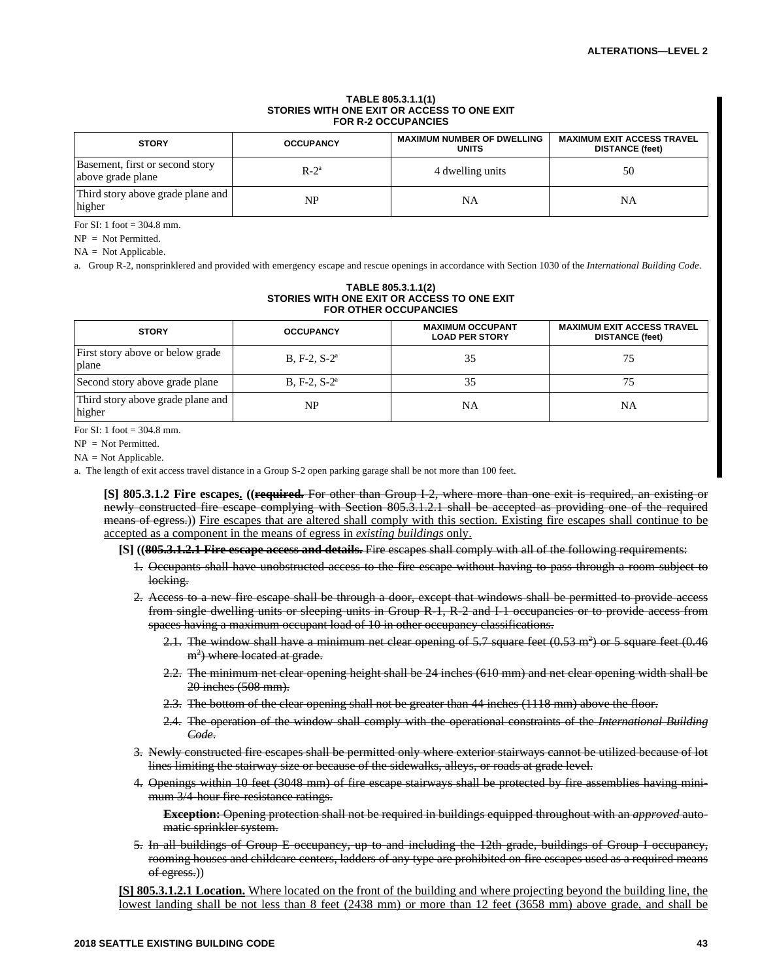#### **TABLE 805.3.1.1(1) STORIES WITH ONE EXIT OR ACCESS TO ONE EXIT FOR R-2 OCCUPANCIES**

| <b>STORY</b>                                         | <b>OCCUPANCY</b> | <b>MAXIMUM NUMBER OF DWELLING</b><br><b>UNITS</b> | <b>MAXIMUM EXIT ACCESS TRAVEL</b><br><b>DISTANCE</b> (feet) |
|------------------------------------------------------|------------------|---------------------------------------------------|-------------------------------------------------------------|
| Basement, first or second story<br>above grade plane | $R-2^a$          | 4 dwelling units                                  | 50                                                          |
| Third story above grade plane and<br>higher          | NP               | NA                                                | NA                                                          |

For SI: 1 foot = 304.8 mm.

NP = Not Permitted.

 $NA = Not Applicable.$ 

a. Group R-2, nonsprinklered and provided with emergency escape and rescue openings in accordance with Section 1030 of the *International Building Code*.

#### **TABLE 805.3.1.1(2) STORIES WITH ONE EXIT OR ACCESS TO ONE EXIT FOR OTHER OCCUPANCIES**

| <b>STORY</b>                                | <b>OCCUPANCY</b> | <b>MAXIMUM OCCUPANT</b><br><b>LOAD PER STORY</b> | <b>MAXIMUM EXIT ACCESS TRAVEL</b><br><b>DISTANCE</b> (feet) |
|---------------------------------------------|------------------|--------------------------------------------------|-------------------------------------------------------------|
| First story above or below grade<br>plane   | $B, F-2, S-2^a$  | 35                                               | 75                                                          |
| Second story above grade plane              | $B. F-2. S-2a$   | 35                                               |                                                             |
| Third story above grade plane and<br>higher | NP               | NA                                               | NA                                                          |

For  $SI: 1$  foot = 304.8 mm.

NP = Not Permitted.

NA = Not Applicable.

a. The length of exit access travel distance in a Group S-2 open parking garage shall be not more than 100 feet.

**[S] 805.3.1.2 Fire escapes. ((required.** For other than Group I-2, where more than one exit is required, an existing or newly constructed fire escape complying with Section 805.3.1.2.1 shall be accepted as providing one of the required means of egress.)) Fire escapes that are altered shall comply with this section. Existing fire escapes shall continue to be accepted as a component in the means of egress in *existing buildings* only.

**[S] ((805.3.1.2.1 Fire escape access and details.** Fire escapes shall comply with all of the following requirements:

- 1. Occupants shall have unobstructed access to the fire escape without having to pass through a room subject to locking.
- 2. Access to a new fire escape shall be through a door, except that windows shall be permitted to provide access from single dwelling units or sleeping units in Group R-1, R-2 and I-1 occupancies or to provide access from spaces having a maximum occupant load of 10 in other occupancy classifications.
	- 2.1. The window shall have a minimum net clear opening of 5.7 square feet  $(0.53 \text{ m}^2)$  or 5 square feet  $(0.46$ m<sup>2</sup>) where located at grade.
	- 2.2. The minimum net clear opening height shall be 24 inches (610 mm) and net clear opening width shall be 20 inches (508 mm).
	- 2.3. The bottom of the clear opening shall not be greater than 44 inches (1118 mm) above the floor.
	- 2.4. The operation of the window shall comply with the operational constraints of the *International Building Code*.
- 3. Newly constructed fire escapes shall be permitted only where exterior stairways cannot be utilized because of lot lines limiting the stairway size or because of the sidewalks, alleys, or roads at grade level.
- 4. Openings within 10 feet (3048 mm) of fire escape stairways shall be protected by fire assemblies having minimum 3/4-hour fire-resistance ratings.

**Exception:** Opening protection shall not be required in buildings equipped throughout with an *approved* automatic sprinkler system.

5. In all buildings of Group E occupancy, up to and including the 12th grade, buildings of Group I occupancy, rooming houses and childcare centers, ladders of any type are prohibited on fire escapes used as a required means of egress.)

**[S] 805.3.1.2.1 Location.** Where located on the front of the building and where projecting beyond the building line, the lowest landing shall be not less than 8 feet (2438 mm) or more than 12 feet (3658 mm) above grade, and shall be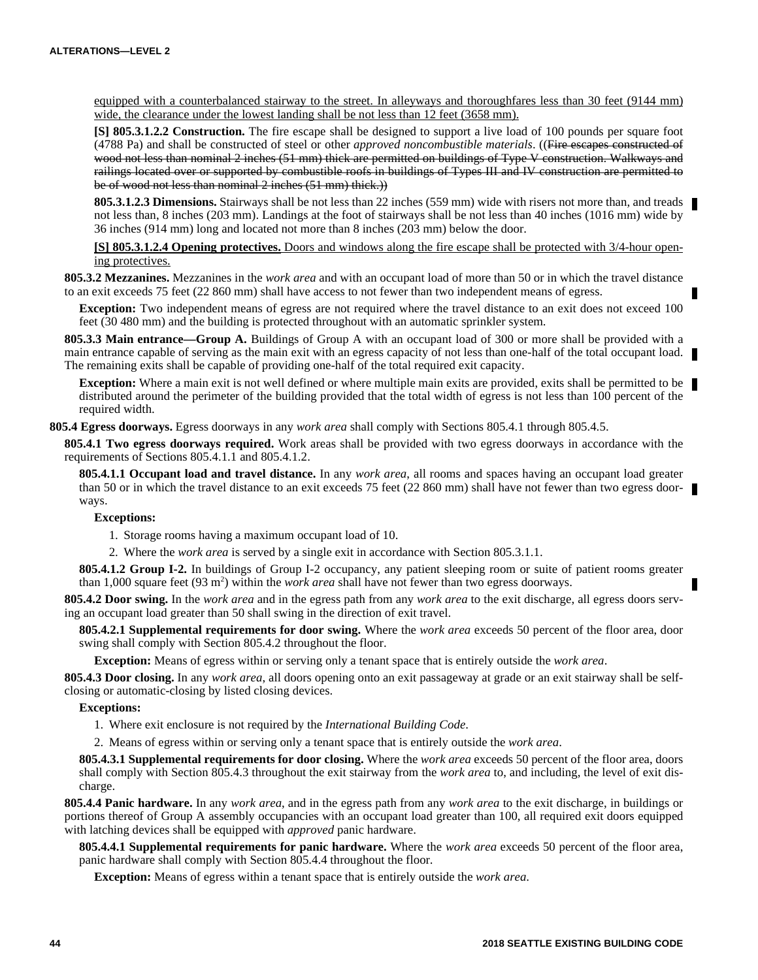equipped with a counterbalanced stairway to the street. In alleyways and thoroughfares less than 30 feet (9144 mm) wide, the clearance under the lowest landing shall be not less than 12 feet (3658 mm).

**[S] 805.3.1.2.2 Construction.** The fire escape shall be designed to support a live load of 100 pounds per square foot (4788 Pa) and shall be constructed of steel or other *approved noncombustible materials*. ((Fire escapes constructed of wood not less than nominal 2 inches (51 mm) thick are permitted on buildings of Type V construction. Walkways and railings located over or supported by combustible roofs in buildings of Types III and IV construction are permitted to be of wood not less than nominal 2 inches (51 mm) thick.))

805.3.1.2.3 Dimensions. Stairways shall be not less than 22 inches (559 mm) wide with risers not more than, and treads not less than, 8 inches (203 mm). Landings at the foot of stairways shall be not less than 40 inches (1016 mm) wide by 36 inches (914 mm) long and located not more than 8 inches (203 mm) below the door.

**[S] 805.3.1.2.4 Opening protectives.** Doors and windows along the fire escape shall be protected with 3/4-hour opening protectives.

**805.3.2 Mezzanines.** Mezzanines in the *work area* and with an occupant load of more than 50 or in which the travel distance to an exit exceeds 75 feet (22 860 mm) shall have access to not fewer than two independent means of egress.

**Exception:** Two independent means of egress are not required where the travel distance to an exit does not exceed 100 feet (30 480 mm) and the building is protected throughout with an automatic sprinkler system.

**805.3.3 Main entrance—Group A.** Buildings of Group A with an occupant load of 300 or more shall be provided with a main entrance capable of serving as the main exit with an egress capacity of not less than one-half of the total occupant load. The remaining exits shall be capable of providing one-half of the total required exit capacity.

**Exception:** Where a main exit is not well defined or where multiple main exits are provided, exits shall be permitted to be distributed around the perimeter of the building provided that the total width of egress is not less than 100 percent of the required width.

**805.4 Egress doorways.** Egress doorways in any *work area* shall comply with Sections 805.4.1 through 805.4.5.

**805.4.1 Two egress doorways required.** Work areas shall be provided with two egress doorways in accordance with the requirements of Sections 805.4.1.1 and 805.4.1.2.

**805.4.1.1 Occupant load and travel distance.** In any *work area*, all rooms and spaces having an occupant load greater than 50 or in which the travel distance to an exit exceeds 75 feet (22 860 mm) shall have not fewer than two egress doorways.

# **Exceptions:**

1. Storage rooms having a maximum occupant load of 10.

2. Where the *work area* is served by a single exit in accordance with Section 805.3.1.1.

**805.4.1.2 Group I-2.** In buildings of Group I-2 occupancy, any patient sleeping room or suite of patient rooms greater than 1,000 square feet (93 m<sup>2</sup>) within the *work area* shall have not fewer than two egress doorways.

**805.4.2 Door swing.** In the *work area* and in the egress path from any *work area* to the exit discharge, all egress doors serving an occupant load greater than 50 shall swing in the direction of exit travel.

**805.4.2.1 Supplemental requirements for door swing.** Where the *work area* exceeds 50 percent of the floor area, door swing shall comply with Section 805.4.2 throughout the floor.

**Exception:** Means of egress within or serving only a tenant space that is entirely outside the *work area*.

**805.4.3 Door closing.** In any *work area*, all doors opening onto an exit passageway at grade or an exit stairway shall be selfclosing or automatic-closing by listed closing devices.

# **Exceptions:**

1. Where exit enclosure is not required by the *International Building Code*.

2. Means of egress within or serving only a tenant space that is entirely outside the *work area*.

**805.4.3.1 Supplemental requirements for door closing.** Where the *work area* exceeds 50 percent of the floor area, doors shall comply with Section 805.4.3 throughout the exit stairway from the *work area* to, and including, the level of exit discharge.

**805.4.4 Panic hardware.** In any *work area*, and in the egress path from any *work area* to the exit discharge, in buildings or portions thereof of Group A assembly occupancies with an occupant load greater than 100, all required exit doors equipped with latching devices shall be equipped with *approved* panic hardware.

**805.4.4.1 Supplemental requirements for panic hardware.** Where the *work area* exceeds 50 percent of the floor area, panic hardware shall comply with Section 805.4.4 throughout the floor.

**Exception:** Means of egress within a tenant space that is entirely outside the *work area*.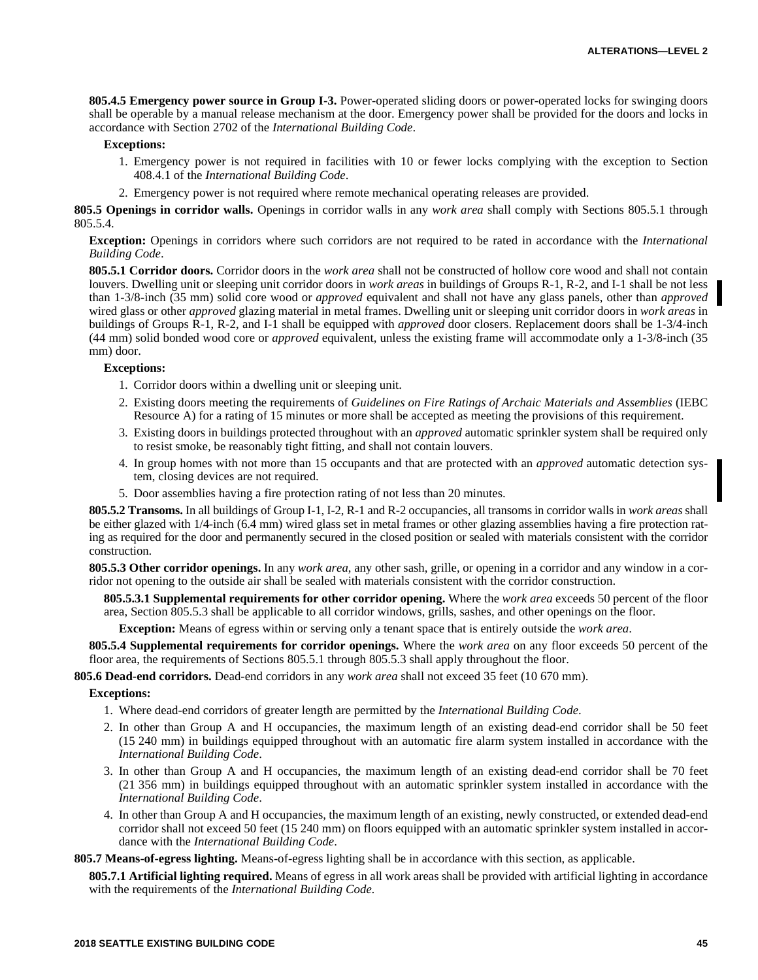**805.4.5 Emergency power source in Group I-3.** Power-operated sliding doors or power-operated locks for swinging doors shall be operable by a manual release mechanism at the door. Emergency power shall be provided for the doors and locks in accordance with Section 2702 of the *International Building Code*.

# **Exceptions:**

- 1. Emergency power is not required in facilities with 10 or fewer locks complying with the exception to Section 408.4.1 of the *International Building Code*.
- 2. Emergency power is not required where remote mechanical operating releases are provided.

**805.5 Openings in corridor walls.** Openings in corridor walls in any *work area* shall comply with Sections 805.5.1 through 805.5.4.

**Exception:** Openings in corridors where such corridors are not required to be rated in accordance with the *International Building Code*.

**805.5.1 Corridor doors.** Corridor doors in the *work area* shall not be constructed of hollow core wood and shall not contain louvers. Dwelling unit or sleeping unit corridor doors in *work areas* in buildings of Groups R-1, R-2, and I-1 shall be not less than 1-3/8-inch (35 mm) solid core wood or *approved* equivalent and shall not have any glass panels, other than *approved* wired glass or other *approved* glazing material in metal frames. Dwelling unit or sleeping unit corridor doors in *work areas* in buildings of Groups R-1, R-2, and I-1 shall be equipped with *approved* door closers. Replacement doors shall be 1-3/4-inch (44 mm) solid bonded wood core or *approved* equivalent, unless the existing frame will accommodate only a 1-3/8-inch (35 mm) door.

#### **Exceptions:**

- 1. Corridor doors within a dwelling unit or sleeping unit.
- 2. Existing doors meeting the requirements of *Guidelines on Fire Ratings of Archaic Materials and Assemblies* (IEBC Resource A) for a rating of 15 minutes or more shall be accepted as meeting the provisions of this requirement.
- 3. Existing doors in buildings protected throughout with an *approved* automatic sprinkler system shall be required only to resist smoke, be reasonably tight fitting, and shall not contain louvers.
- 4. In group homes with not more than 15 occupants and that are protected with an *approved* automatic detection system, closing devices are not required.
- 5. Door assemblies having a fire protection rating of not less than 20 minutes.

**805.5.2 Transoms.** In all buildings of Group I-1, I-2, R-1 and R-2 occupancies, all transoms in corridor walls in *work areas* shall be either glazed with 1/4-inch (6.4 mm) wired glass set in metal frames or other glazing assemblies having a fire protection rating as required for the door and permanently secured in the closed position or sealed with materials consistent with the corridor construction.

**805.5.3 Other corridor openings.** In any *work area*, any other sash, grille, or opening in a corridor and any window in a corridor not opening to the outside air shall be sealed with materials consistent with the corridor construction.

**805.5.3.1 Supplemental requirements for other corridor opening.** Where the *work area* exceeds 50 percent of the floor area, Section 805.5.3 shall be applicable to all corridor windows, grills, sashes, and other openings on the floor.

**Exception:** Means of egress within or serving only a tenant space that is entirely outside the *work area*.

**805.5.4 Supplemental requirements for corridor openings.** Where the *work area* on any floor exceeds 50 percent of the floor area, the requirements of Sections 805.5.1 through 805.5.3 shall apply throughout the floor.

**805.6 Dead-end corridors.** Dead-end corridors in any *work area* shall not exceed 35 feet (10 670 mm).

#### **Exceptions:**

- 1. Where dead-end corridors of greater length are permitted by the *International Building Code*.
- 2. In other than Group A and H occupancies, the maximum length of an existing dead-end corridor shall be 50 feet (15 240 mm) in buildings equipped throughout with an automatic fire alarm system installed in accordance with the *International Building Code*.
- 3. In other than Group A and H occupancies, the maximum length of an existing dead-end corridor shall be 70 feet (21 356 mm) in buildings equipped throughout with an automatic sprinkler system installed in accordance with the *International Building Code*.
- 4. In other than Group A and H occupancies, the maximum length of an existing, newly constructed, or extended dead-end corridor shall not exceed 50 feet (15 240 mm) on floors equipped with an automatic sprinkler system installed in accordance with the *International Building Code*.

**805.7 Means-of-egress lighting.** Means-of-egress lighting shall be in accordance with this section, as applicable.

**805.7.1 Artificial lighting required.** Means of egress in all work areas shall be provided with artificial lighting in accordance with the requirements of the *International Building Code.*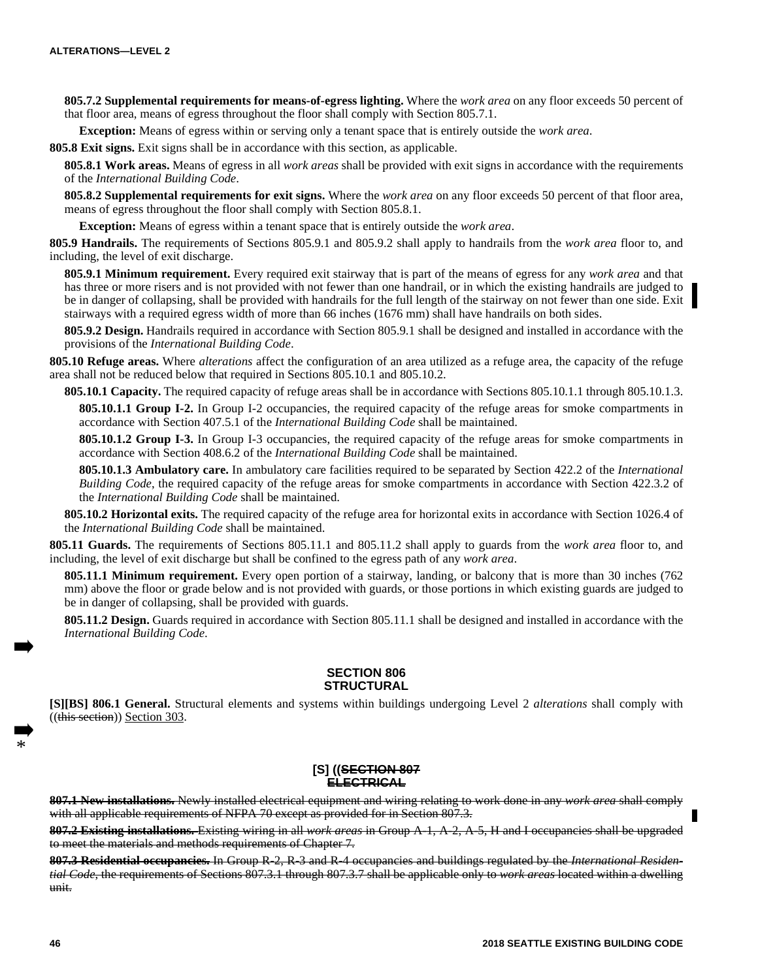**805.7.2 Supplemental requirements for means-of-egress lighting.** Where the *work area* on any floor exceeds 50 percent of that floor area, means of egress throughout the floor shall comply with Section 805.7.1.

**Exception:** Means of egress within or serving only a tenant space that is entirely outside the *work area*.

**805.8 Exit signs.** Exit signs shall be in accordance with this section, as applicable.

**805.8.1 Work areas.** Means of egress in all *work areas* shall be provided with exit signs in accordance with the requirements of the *International Building Code*.

**805.8.2 Supplemental requirements for exit signs.** Where the *work area* on any floor exceeds 50 percent of that floor area, means of egress throughout the floor shall comply with Section 805.8.1.

**Exception:** Means of egress within a tenant space that is entirely outside the *work area*.

**805.9 Handrails.** The requirements of Sections 805.9.1 and 805.9.2 shall apply to handrails from the *work area* floor to, and including, the level of exit discharge.

**805.9.1 Minimum requirement.** Every required exit stairway that is part of the means of egress for any *work area* and that has three or more risers and is not provided with not fewer than one handrail, or in which the existing handrails are judged to be in danger of collapsing, shall be provided with handrails for the full length of the stairway on not fewer than one side. Exit stairways with a required egress width of more than 66 inches (1676 mm) shall have handrails on both sides.

**805.9.2 Design.** Handrails required in accordance with Section 805.9.1 shall be designed and installed in accordance with the provisions of the *International Building Code*.

**805.10 Refuge areas.** Where *alterations* affect the configuration of an area utilized as a refuge area, the capacity of the refuge area shall not be reduced below that required in Sections 805.10.1 and 805.10.2.

**805.10.1 Capacity.** The required capacity of refuge areas shall be in accordance with Sections 805.10.1.1 through 805.10.1.3.

**805.10.1.1 Group I-2.** In Group I-2 occupancies, the required capacity of the refuge areas for smoke compartments in accordance with Section 407.5.1 of the *International Building Code* shall be maintained.

**805.10.1.2 Group I-3.** In Group I-3 occupancies, the required capacity of the refuge areas for smoke compartments in accordance with Section 408.6.2 of the *International Building Code* shall be maintained.

**805.10.1.3 Ambulatory care.** In ambulatory care facilities required to be separated by Section 422.2 of the *International Building Code*, the required capacity of the refuge areas for smoke compartments in accordance with Section 422.3.2 of the *International Building Code* shall be maintained.

**805.10.2 Horizontal exits.** The required capacity of the refuge area for horizontal exits in accordance with Section 1026.4 of the *International Building Code* shall be maintained.

**805.11 Guards.** The requirements of Sections 805.11.1 and 805.11.2 shall apply to guards from the *work area* floor to, and including, the level of exit discharge but shall be confined to the egress path of any *work area*.

**805.11.1 Minimum requirement.** Every open portion of a stairway, landing, or balcony that is more than 30 inches (762 mm) above the floor or grade below and is not provided with guards, or those portions in which existing guards are judged to be in danger of collapsing, shall be provided with guards.

**805.11.2 Design.** Guards required in accordance with Section 805.11.1 shall be designed and installed in accordance with the *International Building Code*.

# **SECTION 806 STRUCTURAL**

**[S][BS] 806.1 General.** Structural elements and systems within buildings undergoing Level 2 *alterations* shall comply with ((this section)) Section 303.

## **[S] ((SECTION 807 ELECTRICAL**

**807.1 New installations.** Newly installed electrical equipment and wiring relating to work done in any *work area* shall comply with all applicable requirements of NFPA 70 except as provided for in Section 807.3.

**807.2 Existing installations.** Existing wiring in all *work areas* in Group A-1, A-2, A-5, H and I occupancies shall be upgraded to meet the materials and methods requirements of Chapter 7.

**807.3 Residential occupancies.** In Group R-2, R-3 and R-4 occupancies and buildings regulated by the *International Residential Code*, the requirements of Sections 807.3.1 through 807.3.7 shall be applicable only to *work areas* located within a dwelling unit.

\*